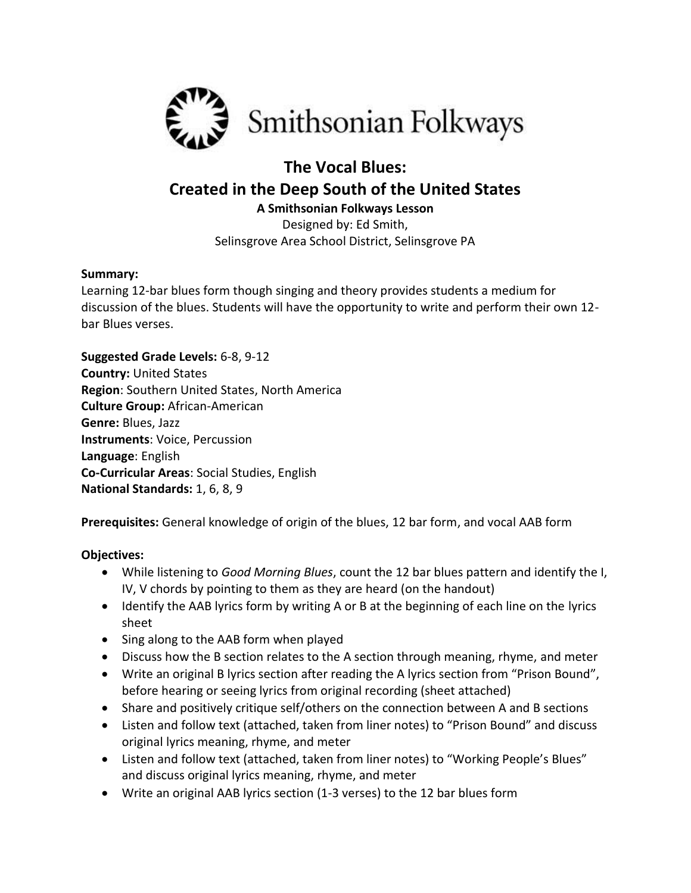

## **The Vocal Blues: Created in the Deep South of the United States A Smithsonian Folkways Lesson**

Designed by: Ed Smith, Selinsgrove Area School District, Selinsgrove PA

#### **Summary:**

Learning 12-bar blues form though singing and theory provides students a medium for discussion of the blues. Students will have the opportunity to write and perform their own 12 bar Blues verses.

**Suggested Grade Levels:** 6-8, 9-12 **Country:** United States **Region**: Southern United States, North America **Culture Group:** African-American **Genre:** Blues, Jazz **Instruments**: Voice, Percussion **Language**: English **Co-Curricular Areas**: Social Studies, English **National Standards:** 1, 6, 8, 9

**Prerequisites:** General knowledge of origin of the blues, 12 bar form, and vocal AAB form

#### **Objectives:**

- While listening to *Good Morning Blues*, count the 12 bar blues pattern and identify the I, IV, V chords by pointing to them as they are heard (on the handout)
- Identify the AAB lyrics form by writing A or B at the beginning of each line on the lyrics sheet
- Sing along to the AAB form when played
- Discuss how the B section relates to the A section through meaning, rhyme, and meter
- Write an original B lyrics section after reading the A lyrics section from "Prison Bound", before hearing or seeing lyrics from original recording (sheet attached)
- Share and positively critique self/others on the connection between A and B sections
- Listen and follow text (attached, taken from liner notes) to "Prison Bound" and discuss original lyrics meaning, rhyme, and meter
- Listen and follow text (attached, taken from liner notes) to "Working People's Blues" and discuss original lyrics meaning, rhyme, and meter
- Write an original AAB lyrics section (1-3 verses) to the 12 bar blues form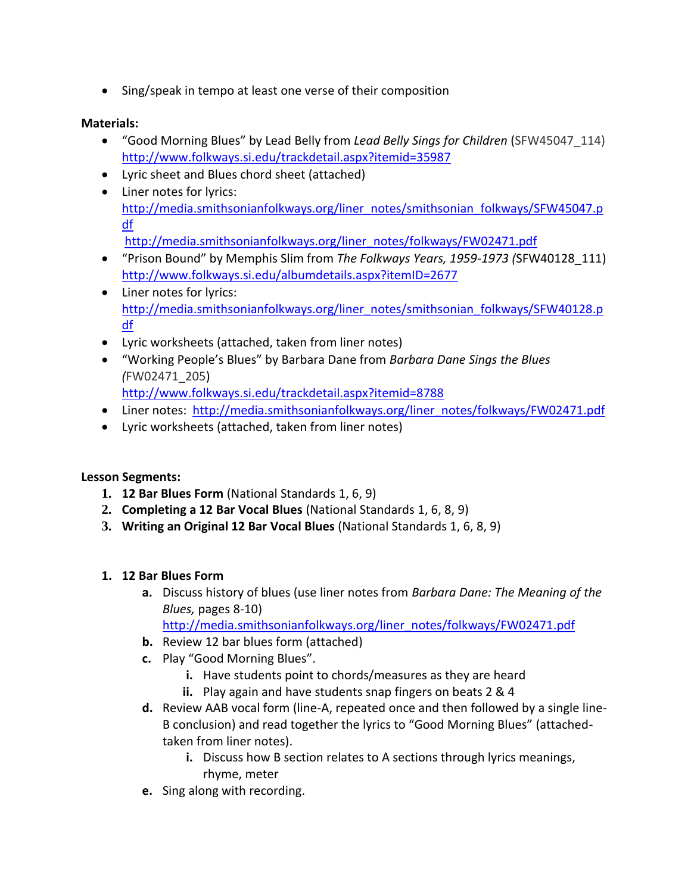• Sing/speak in tempo at least one verse of their composition

### **Materials:**

- "Good Morning Blues" by Lead Belly from *Lead Belly Sings for Children* (SFW45047\_114) <http://www.folkways.si.edu/trackdetail.aspx?itemid=35987>
- Lyric sheet and Blues chord sheet (attached)
- Liner notes for lyrics[:](http://media.smithsonianfolkways.org/liner_notes/smithsonian_folkways/SFW45047.pdf)  [http://media.smithsonianfolkways.org/liner\\_notes/smithsonian\\_folkways/SFW45047.p](http://media.smithsonianfolkways.org/liner_notes/smithsonian_folkways/SFW45047.pdf) [df](http://media.smithsonianfolkways.org/liner_notes/smithsonian_folkways/SFW45047.pdf) [http://media.smithsonianfolkways.org/liner\\_notes/folkways/FW02471.pdf](http://media.smithsonianfolkways.org/liner_notes/folkways/FW02471.pdf)
- "Prison Bound" by Memphis Slim from *The Folkways Years, 1959-1973 (*SFW40128\_111) <http://www.folkways.si.edu/albumdetails.aspx?itemID=2677>
- Liner notes for lyrics: [http://media.smithsonianfolkways.org/liner\\_notes/smithsonian\\_folkways/SFW40128.p](http://media.smithsonianfolkways.org/liner_notes/smithsonian_folkways/SFW40128.pdf) [df](http://media.smithsonianfolkways.org/liner_notes/smithsonian_folkways/SFW40128.pdf)
- Lyric worksheets (attached, taken from liner notes)
- "Working People's Blues" by Barbara Dane from *Barbara Dane Sings the Blues (*FW02471\_205)
	- <http://www.folkways.si.edu/trackdetail.aspx?itemid=8788>
- Liner notes: [http://media.smithsonianfolkways.org/liner\\_notes/folkways/FW02471.pdf](http://media.smithsonianfolkways.org/liner_notes/folkways/FW02471.pdf)
- Lyric worksheets (attached, taken from liner notes)

#### **Lesson Segments:**

- **1. 12 Bar Blues Form** (National Standards 1, 6, 9)
- **2. Completing a 12 Bar Vocal Blues** (National Standards 1, 6, 8, 9)
- **3. Writing an Original 12 Bar Vocal Blues** (National Standards 1, 6, 8, 9)

#### **1. 12 Bar Blues Form**

- **a.** Discuss history of blues (use liner notes from *[Barbara Dane: The Meaning of the](http://media.smithsonianfolkways.org/liner_notes/folkways/FW02471.pdf)  Blues,* pages 8-10)
	- [http://media.smithsonianfolkways.org/liner\\_notes/folkways/FW02471.pdf](http://media.smithsonianfolkways.org/liner_notes/folkways/FW02471.pdf)
- **b.** Review 12 bar blues form (attached)
- **c.** Play "Good Morning Blues".
	- **i.** Have students point to chords/measures as they are heard
	- **ii.** Play again and have students snap fingers on beats 2 & 4
- **d.** Review AAB vocal form (line-A, repeated once and then followed by a single line-B conclusion) and read together the lyrics to "Good Morning Blues" (attachedtaken from liner notes).
	- **i.** Discuss how B section relates to A sections through lyrics meanings, rhyme, meter
- **e.** Sing along with recording.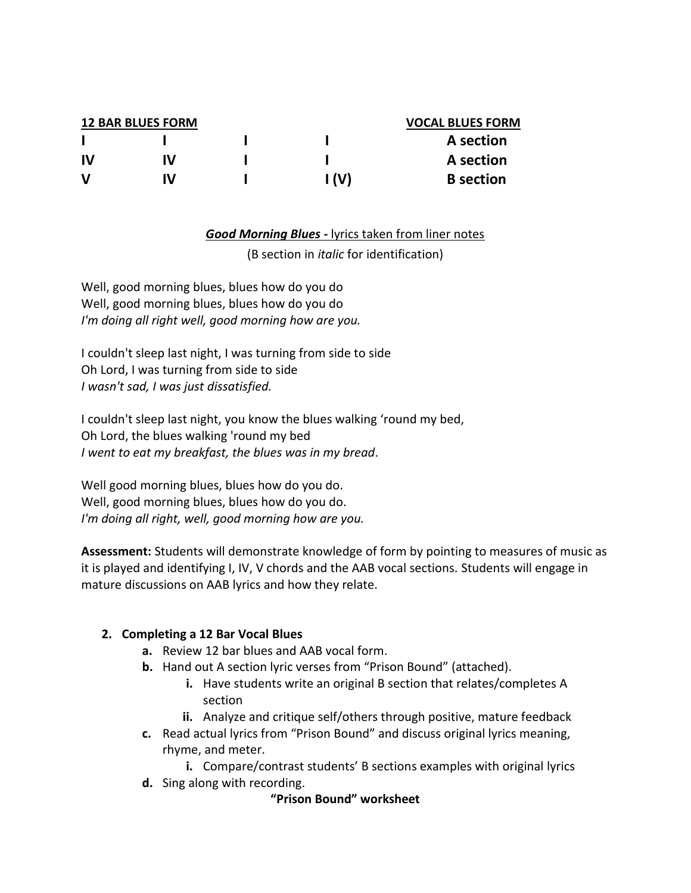|    | <b>12 BAR BLUES FORM</b> | <b>VOCAL BLUES FORM</b> |                  |
|----|--------------------------|-------------------------|------------------|
|    |                          |                         | A section        |
| IV | W                        |                         | A section        |
| v  | W                        | I (V)                   | <b>B</b> section |

#### *Good Morning Blues* **-** lyrics taken from liner notes

(B section in *italic* for identification)

Well, good morning blues, blues how do you do Well, good morning blues, blues how do you do *I'm doing all right well, good morning how are you.*

I couldn't sleep last night, I was turning from side to side Oh Lord, I was turning from side to side *I wasn't sad, I was just dissatisfied.*

I couldn't sleep last night, you know the blues walking 'round my bed, Oh Lord, the blues walking 'round my bed *I went to eat my breakfast, the blues was in my bread*.

Well good morning blues, blues how do you do. Well, good morning blues, blues how do you do. *I'm doing all right, well, good morning how are you.*

**Assessment:** Students will demonstrate knowledge of form by pointing to measures of music as it is played and identifying I, IV, V chords and the AAB vocal sections. Students will engage in mature discussions on AAB lyrics and how they relate.

#### **2. Completing a 12 Bar Vocal Blues**

- **a.** Review 12 bar blues and AAB vocal form.
- **b.** Hand out A section lyric verses from "Prison Bound" (attached).
	- **i.** Have students write an original B section that relates/completes A section
	- **ii.** Analyze and critique self/others through positive, mature feedback
- **c.** Read actual lyrics from "Prison Bound" and discuss original lyrics meaning, rhyme, and meter.

**i.** Compare/contrast students' B sections examples with original lyrics

**d.** Sing along with recording.

#### **"Prison Bound" worksheet**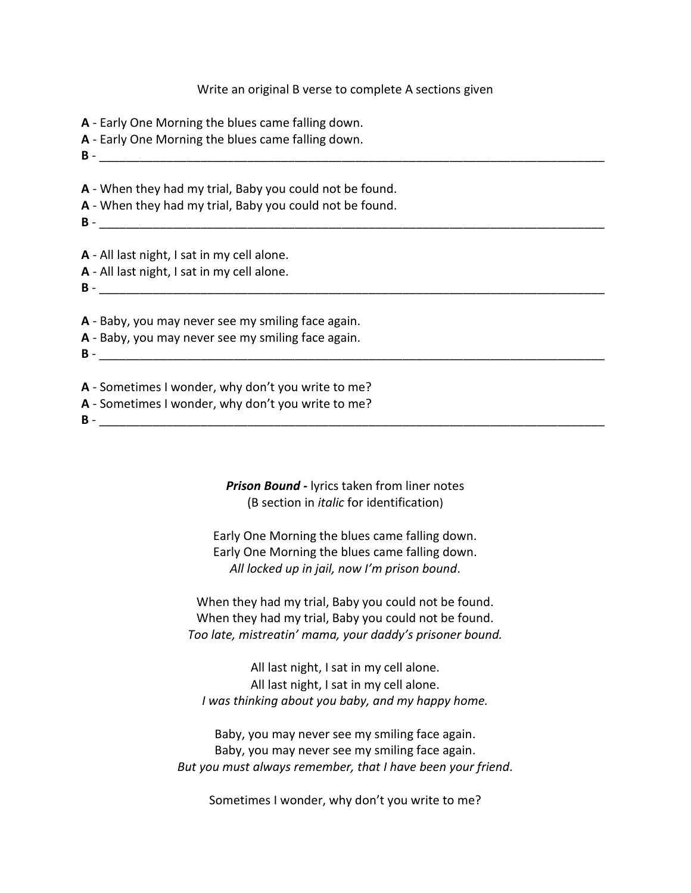#### Write an original B verse to complete A sections given

- **A** Early One Morning the blues came falling down.
- **A** Early One Morning the blues came falling down.
- **B** -

**A** - When they had my trial, Baby you could not be found.

**A** - When they had my trial, Baby you could not be found.

**B** -  $\blacksquare$ 

**A** - All last night, I sat in my cell alone.

- **A** All last night, I sat in my cell alone.
- **B** \_\_\_\_\_\_\_\_\_\_\_\_\_\_\_\_\_\_\_\_\_\_\_\_\_\_\_\_\_\_\_\_\_\_\_\_\_\_\_\_\_\_\_\_\_\_\_\_\_\_\_\_\_\_\_\_\_\_\_\_\_\_\_\_\_\_\_\_\_\_\_\_\_\_\_

**A** - Baby, you may never see my smiling face again.

**A** - Baby, you may never see my smiling face again.

**B** - \_\_\_\_\_\_\_\_\_\_\_\_\_\_\_\_\_\_\_\_\_\_\_\_\_\_\_\_\_\_\_\_\_\_\_\_\_\_\_\_\_\_\_\_\_\_\_\_\_\_\_\_\_\_\_\_\_\_\_\_\_\_\_\_\_\_\_\_\_\_\_\_\_\_\_

**A** - Sometimes I wonder, why don't you write to me? **A** - Sometimes I wonder, why don't you write to me?

**B** - \_\_\_\_\_\_\_\_\_\_\_\_\_\_\_\_\_\_\_\_\_\_\_\_\_\_\_\_\_\_\_\_\_\_\_\_\_\_\_\_\_\_\_\_\_\_\_\_\_\_\_\_\_\_\_\_\_\_\_\_\_\_\_\_\_\_\_\_\_\_\_\_\_\_\_

*Prison Bound* **-** lyrics taken from liner notes (B section in *italic* for identification)

Early One Morning the blues came falling down. Early One Morning the blues came falling down. *All locked up in jail, now I'm prison bound*.

When they had my trial, Baby you could not be found. When they had my trial, Baby you could not be found. *Too late, mistreatin' mama, your daddy's prisoner bound.*

All last night, I sat in my cell alone. All last night, I sat in my cell alone. *I was thinking about you baby, and my happy home.*

Baby, you may never see my smiling face again. Baby, you may never see my smiling face again. *But you must always remember, that I have been your friend*.

Sometimes I wonder, why don't you write to me?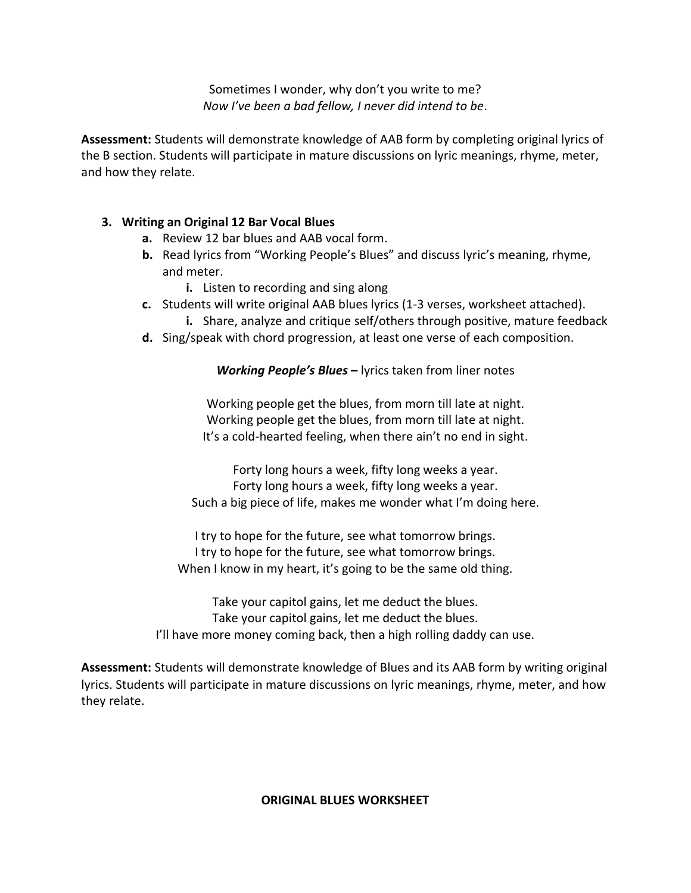Sometimes I wonder, why don't you write to me? *Now I've been a bad fellow, I never did intend to be*.

**Assessment:** Students will demonstrate knowledge of AAB form by completing original lyrics of the B section. Students will participate in mature discussions on lyric meanings, rhyme, meter, and how they relate.

### **3. Writing an Original 12 Bar Vocal Blues**

- **a.** Review 12 bar blues and AAB vocal form.
- **b.** Read lyrics from "Working People's Blues" and discuss lyric's meaning, rhyme, and meter.
	- **i.** Listen to recording and sing along
- **c.** Students will write original AAB blues lyrics (1-3 verses, worksheet attached).
	- **i.** Share, analyze and critique self/others through positive, mature feedback
- **d.** Sing/speak with chord progression, at least one verse of each composition.

#### *Working People's Blues* **–** lyrics taken from liner notes

Working people get the blues, from morn till late at night. Working people get the blues, from morn till late at night. It's a cold-hearted feeling, when there ain't no end in sight.

Forty long hours a week, fifty long weeks a year. Forty long hours a week, fifty long weeks a year. Such a big piece of life, makes me wonder what I'm doing here.

I try to hope for the future, see what tomorrow brings. I try to hope for the future, see what tomorrow brings. When I know in my heart, it's going to be the same old thing.

Take your capitol gains, let me deduct the blues. Take your capitol gains, let me deduct the blues. I'll have more money coming back, then a high rolling daddy can use.

**Assessment:** Students will demonstrate knowledge of Blues and its AAB form by writing original lyrics. Students will participate in mature discussions on lyric meanings, rhyme, meter, and how they relate.

#### **ORIGINAL BLUES WORKSHEET**